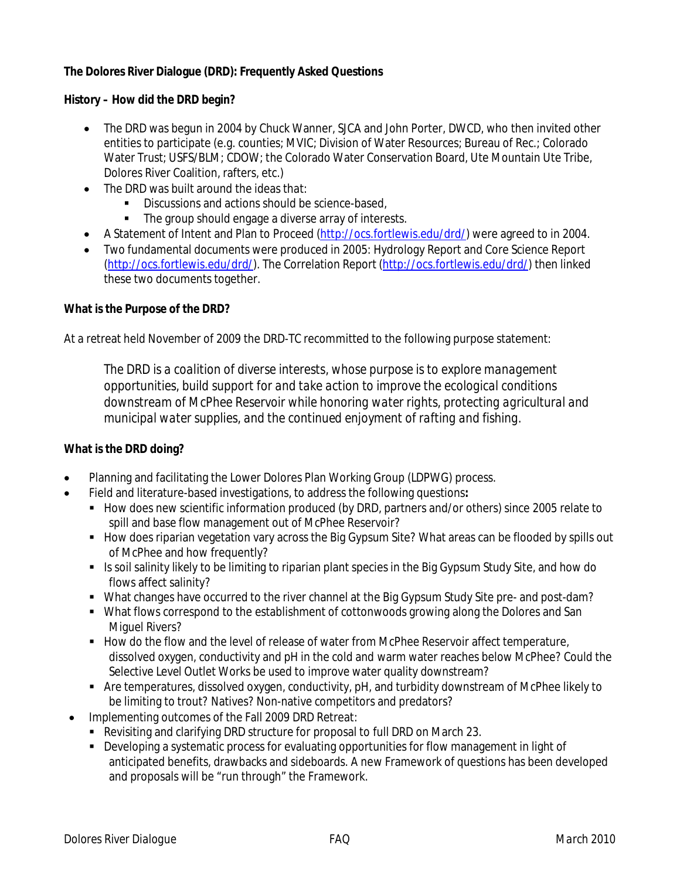# **The Dolores River Dialogue (DRD): Frequently Asked Questions**

## **History – How did the DRD begin?**

- The DRD was begun in 2004 by Chuck Wanner, SJCA and John Porter, DWCD, who then invited other entities to participate (e.g. counties; MVIC; Division of Water Resources; Bureau of Rec.; Colorado Water Trust; USFS/BLM; CDOW; the Colorado Water Conservation Board, Ute Mountain Ute Tribe, Dolores River Coalition, rafters, etc.)
- The DRD was built around the ideas that:
	- Discussions and actions should be science-based,
	- The group should engage a diverse array of interests.
- A Statement of Intent and Plan to Proceed (http://ocs.fortlewis.edu/drd/) were agreed to in 2004.
- Two fundamental documents were produced in 2005: Hydrology Report and Core Science Report (http://ocs.fortlewis.edu/drd/). The Correlation Report (http://ocs.fortlewis.edu/drd/) then linked these two documents together.

## **What is the Purpose of the DRD?**

At a retreat held November of 2009 the DRD-TC recommitted to the following purpose statement:

*The DRD is a coalition of diverse interests, whose purpose is to explore management opportunities, build support for and take action to improve the ecological conditions downstream of McPhee Reservoir while honoring water rights, protecting agricultural and municipal water supplies, and the continued enjoyment of rafting and fishing.*

## **What is the DRD doing?**

- Planning and facilitating the Lower Dolores Plan Working Group (LDPWG) process.
- Field and literature-based investigations, to address the following questions**:**
	- **How does new scientific information produced (by DRD, partners and/or others) since 2005 relate to** spill and base flow management out of McPhee Reservoir?
	- How does riparian vegetation vary across the Big Gypsum Site? What areas can be flooded by spills out of McPhee and how frequently?
	- Is soil salinity likely to be limiting to riparian plant species in the Big Gypsum Study Site, and how do flows affect salinity?
	- What changes have occurred to the river channel at the Big Gypsum Study Site pre- and post-dam?
	- What flows correspond to the establishment of cottonwoods growing along the Dolores and San Miguel Rivers?
	- How do the flow and the level of release of water from McPhee Reservoir affect temperature, dissolved oxygen, conductivity and pH in the cold and warm water reaches below McPhee? Could the Selective Level Outlet Works be used to improve water quality downstream?
	- Are temperatures, dissolved oxygen, conductivity, pH, and turbidity downstream of McPhee likely to be limiting to trout? Natives? Non-native competitors and predators?
- Implementing outcomes of the Fall 2009 DRD Retreat:
	- Revisiting and clarifying DRD structure for proposal to full DRD on March 23.
	- Developing a systematic process for evaluating opportunities for flow management in light of anticipated benefits, drawbacks and sideboards. A new Framework of questions has been developed and proposals will be "run through" the Framework.